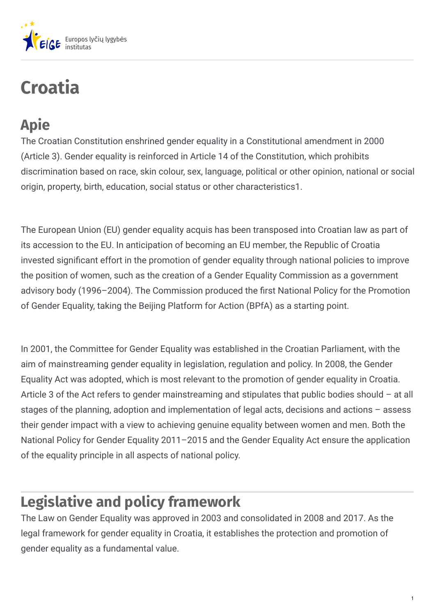

# **Croatia**

## **Apie**

The Croatian Constitution enshrined gender equality in a Constitutional amendment in 2000 (Article 3). Gender equality is reinforced in Article 14 of the Constitution, which prohibits discrimination based on race, skin colour, sex, language, political or other opinion, national or social origin, property, birth, education, social status or other characteristics1.

The European Union (EU) gender equality acquis has been transposed into Croatian law as part of its accession to the EU. In anticipation of becoming an EU member, the Republic of Croatia invested significant effort in the promotion of gender equality through national policies to improve the position of women, such as the creation of a Gender Equality Commission as a government advisory body (1996–2004). The Commission produced the first National Policy for the Promotion of Gender Equality, taking the Beijing Platform for Action (BPfA) as a starting point.

In 2001, the Committee for Gender Equality was established in the Croatian Parliament, with the aim of mainstreaming gender equality in legislation, regulation and policy. In 2008, the Gender Equality Act was adopted, which is most relevant to the promotion of gender equality in Croatia. Article 3 of the Act refers to gender mainstreaming and stipulates that public bodies should – at all stages of the planning, adoption and implementation of legal acts, decisions and actions – assess their gender impact with a view to achieving genuine equality between women and men. Both the National Policy for Gender Equality 2011–2015 and the Gender Equality Act ensure the application of the equality principle in all aspects of national policy.

## **Legislative and policy framework**

The Law on Gender Equality was approved in 2003 and consolidated in 2008 and 2017. As the legal framework for gender equality in Croatia, it establishes the protection and promotion of gender equality as a fundamental value.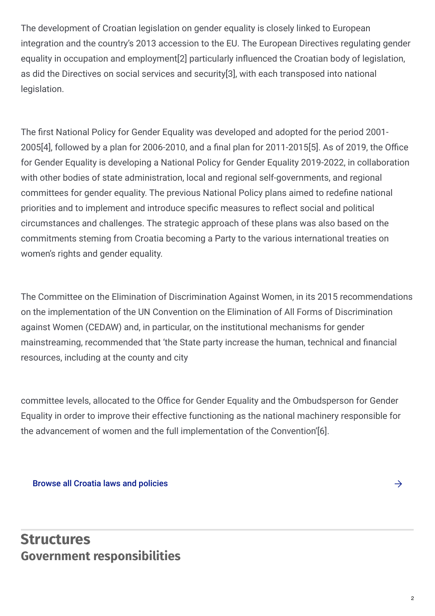The development of Croatian legislation on gender equality is closely linked to European integration and the country's 2013 accession to the EU. The European Directives regulating gender equality in occupation and employment<sup>[2]</sup> particularly influenced the Croatian body of legislation, as did the Directives on social services and security[3], with each transposed into national legislation.

The first National Policy for Gender Equality was developed and adopted for the period 2001- $2005[4]$ , followed by a plan for 2006-2010, and a final plan for 2011-2015[5]. As of 2019, the Office for Gender Equality is developing a National Policy for Gender Equality 2019-2022, in collaboration with other bodies of state administration, local and regional self-governments, and regional committees for gender equality. The previous National Policy plans aimed to redefine national priorities and to implement and introduce specific measures to reflect social and political circumstances and challenges. The strategic approach of these plans was also based on the commitments steming from Croatia becoming a Party to the various international treaties on women's rights and gender equality.

The Committee on the Elimination of Discrimination Against Women, in its 2015 recommendations on the implementation of the UN Convention on the Elimination of All Forms of Discrimination against Women (CEDAW) and, in particular, on the institutional mechanisms for gender mainstreaming, recommended that 'the State party increase the human, technical and financial resources, including at the county and city

committee levels, allocated to the Office for Gender Equality and the Ombudsperson for Gender Equality in order to improve their effective functioning as the national machinery responsible for the advancement of women and the full implementation of the Convention'[6].

#### Browse all Croatia laws and [policies](https://eige.europa.eu/gender-mainstreaming/countries/browse/croatia?tp[]=resource)

## **Structures Government responsibilities**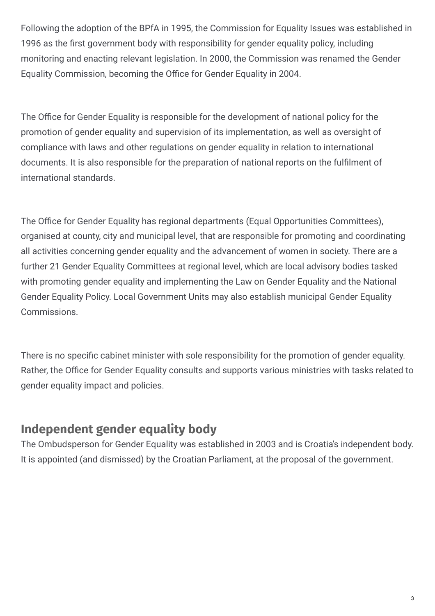Following the adoption of the BPfA in 1995, the Commission for Equality Issues was established in 1996 as the first government body with responsibility for gender equality policy, including monitoring and enacting relevant legislation. In 2000, the Commission was renamed the Gender Equality Commission, becoming the Office for Gender Equality in 2004.

The Office for Gender Equality is responsible for the development of national policy for the promotion of gender equality and supervision of its implementation, as well as oversight of compliance with laws and other regulations on gender equality in relation to international documents. It is also responsible for the preparation of national reports on the fulfilment of international standards.

The Office for Gender Equality has regional departments (Equal Opportunities Committees), organised at county, city and municipal level, that are responsible for promoting and coordinating all activities concerning gender equality and the advancement of women in society. There are a further 21 Gender Equality Committees at regional level, which are local advisory bodies tasked with promoting gender equality and implementing the Law on Gender Equality and the National Gender Equality Policy. Local Government Units may also establish municipal Gender Equality Commissions.

There is no specific cabinet minister with sole responsibility for the promotion of gender equality. Rather, the Office for Gender Equality consults and supports various ministries with tasks related to gender equality impact and policies.

### **Independent gender equality body**

The Ombudsperson for Gender Equality was established in 2003 and is Croatia's independent body. It is appointed (and dismissed) by the Croatian Parliament, at the proposal of the government.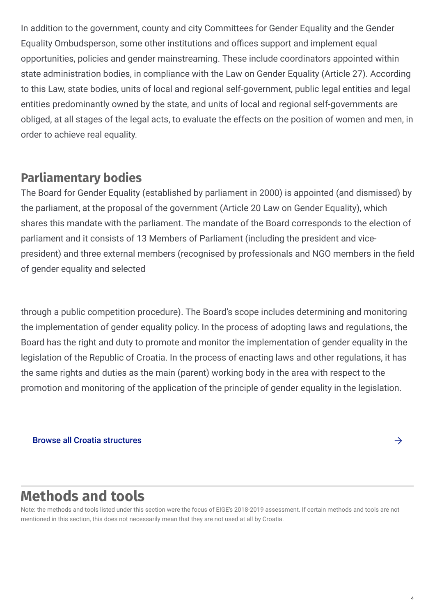In addition to the government, county and city Committees for Gender Equality and the Gender Equality Ombudsperson, some other institutions and offices support and implement equal opportunities, policies and gender mainstreaming. These include coordinators appointed within state administration bodies, in compliance with the Law on Gender Equality (Article 27). According to this Law, state bodies, units of local and regional self-government, public legal entities and legal entities predominantly owned by the state, and units of local and regional self-governments are obliged, at all stages of the legal acts, to evaluate the effects on the position of women and men, in order to achieve real equality.

### **Parliamentary bodies**

The Board for Gender Equality (established by parliament in 2000) is appointed (and dismissed) by the parliament, at the proposal of the government (Article 20 Law on Gender Equality), which shares this mandate with the parliament. The mandate of the Board corresponds to the election of parliament and it consists of 13 Members of Parliament (including the president and vicepresident) and three external members (recognised by professionals and NGO members in the field of gender equality and selected

through a public competition procedure). The Board's scope includes determining and monitoring the implementation of gender equality policy. In the process of adopting laws and regulations, the Board has the right and duty to promote and monitor the implementation of gender equality in the legislation of the Republic of Croatia. In the process of enacting laws and other regulations, it has the same rights and duties as the main (parent) working body in the area with respect to the promotion and monitoring of the application of the principle of gender equality in the legislation.

#### Browse all Croatia [structures](https://eige.europa.eu/gender-mainstreaming/countries/browse/croatia?tp[]=structure)

## **Methods and tools**

Note: the methods and tools listed under this section were the focus of EIGE's 2018-2019 assessment. If certain methods and tools are not mentioned in this section, this does not necessarily mean that they are not used at all by Croatia.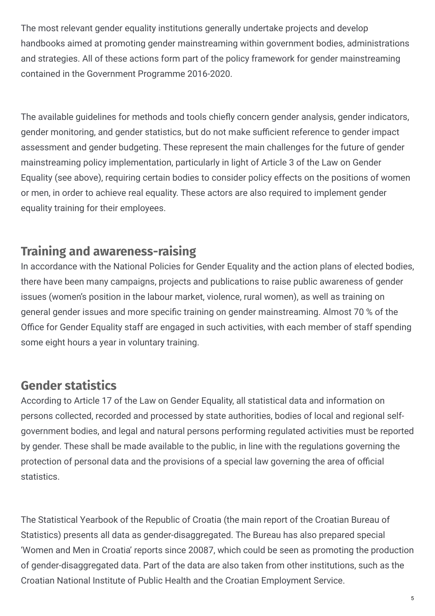The most relevant gender equality institutions generally undertake projects and develop handbooks aimed at promoting gender mainstreaming within government bodies, administrations and strategies. All of these actions form part of the policy framework for gender mainstreaming contained in the Government Programme 2016-2020.

The available guidelines for methods and tools chiefly concern gender analysis, gender indicators, gender monitoring, and gender statistics, but do not make sufficient reference to gender impact assessment and gender budgeting. These represent the main challenges for the future of gender mainstreaming policy implementation, particularly in light of Article 3 of the Law on Gender Equality (see above), requiring certain bodies to consider policy effects on the positions of women or men, in order to achieve real equality. These actors are also required to implement gender equality training for their employees.

## **Training and awareness-raising**

In accordance with the National Policies for Gender Equality and the action plans of elected bodies, there have been many campaigns, projects and publications to raise public awareness of gender issues (women's position in the labour market, violence, rural women), as well as training on general gender issues and more specific training on gender mainstreaming. Almost 70 % of the Office for Gender Equality staff are engaged in such activities, with each member of staff spending some eight hours a year in voluntary training.

## **Gender statistics**

According to Article 17 of the Law on Gender Equality, all statistical data and information on persons collected, recorded and processed by state authorities, bodies of local and regional selfgovernment bodies, and legal and natural persons performing regulated activities must be reported by gender. These shall be made available to the public, in line with the regulations governing the protection of personal data and the provisions of a special law governing the area of official statistics.

The Statistical Yearbook of the Republic of Croatia (the main report of the Croatian Bureau of Statistics) presents all data as gender-disaggregated. The Bureau has also prepared special 'Women and Men in Croatia' reports since 20087, which could be seen as promoting the production of gender-disaggregated data. Part of the data are also taken from other institutions, such as the Croatian National Institute of Public Health and the Croatian Employment Service.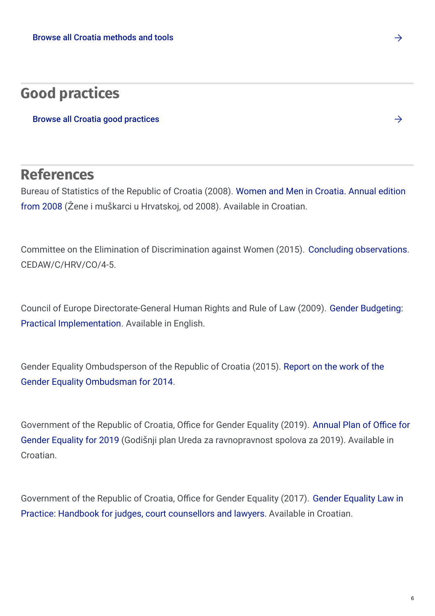## **Good practices**

Browse all Croatia good [practices](https://eige.europa.eu/gender-mainstreaming/countries/browse/croatia?tp[]=good_practice)

## **References**

Bureau of Statistics of the Republic of Croatia (2008). Women and Men in Croatia. Annual edition from 2008 (Žene i muškarci u [Hrvatskoj,](http://www.dzs.hr/Hrv/publication/men_and_women.htm) od 2008). Available in Croatian.

Committee on the Elimination of Discrimination against Women (2015). Concluding [observations](http://tbinternet.ohchr.org/_layouts/15/treatybodyexternal/Download.aspx?symbolno=CEDAW/C/HRV/CO/4-5&Lang=En). CEDAW/C/HRV/CO/4-5.

Council of Europe [Directorate-General](http://rm.coe.int/1680599885) Human Rights and Rule of Law (2009). Gender Budgeting: Practical Implementation. Available in English.

Gender Equality [Ombudsperson](http://www.prs.hr/attachments/article/1555/01_IZVJESCE_2014_CJELOVITO.pdf) of the Republic of Croatia (2015). Report on the work of the Gender Equality Ombudsman for 2014.

Government of the Republic of Croatia, Office for Gender Equality (2019). Annual Plan of Office for Gender Equality for 2019 (Godišnji plan Ureda za [ravnopravnost](http://ravnopravnost.gov.hr/UserDocsImages//dokumenti/Izvje%C5%A1%C4%87a URS/2019//Godi%C5%A1nji plan URS-a za 2019.pdf) spolova za 2019). Available in Croatian.

[Government](http://ravnopravnost.gov.hr/UserDocsImages/dokumenti/Projekt Podr%C5%A1ka ravnopravnosti spolova/Priru%C4%8Dnik o rodno osvije%C5%A1tenoj politici i promicanju ravnopravnosti spolova - za suce-sutkinje, sudske savjetnike-ce i odvjetnike-ce.pdf) of the Republic of Croatia, Office for Gender Equality (2017). Gender Equality Law in Practice: Handbook for judges, court counsellors and lawyers. Available in Croatian.

6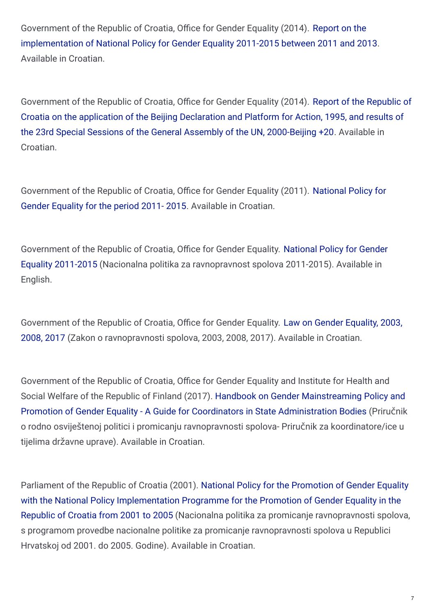Government of the Republic of Croatia, Office for Gender Equality (2014). Report on the [implementation](http://ravnopravnost.gov.hr/UserDocsImages//arhiva/images/pdf//Izvje%C5%A1%C4%87e o provedbi Nacionalne politike za ravnopravnost spolova 2011.- 2015. u razdoblju od 2011. do 2013.pdf) of National Policy for Gender Equality 2011-2015 between 2011 and 2013. Available in Croatian.

Government of the Republic of Croatia, Office for Gender Equality (2014). Report of the Republic of Croatia on the application of the Beijing Declaration and Platform for Action, 1995, and results of the 23rd Special Sessions of the General Assembly of the UN, [2000-Beijing](http://ravnopravnost.gov.hr/UserDocsImages/arhiva/images/pdf/Izvje%C5%A1%C4%87e Republike Hrvatske o primjeni Pekin%C5%A1ke deklaracije i Platforme za djelovanje %E2%80%93 Peking 20.pdf) +20. Available in Croatian.

[Government](http://ravnopravnost.gov.hr/UserDocsImages/arhiva/images/pdf/National Policy for Gender Equality 2011-2015.pdf.O/4-5&Lang=En) of the Republic of Croatia, Office for Gender Equality (2011). National Policy for Gender Equality for the period 2011- 2015. Available in Croatian.

Government of the Republic of Croatia, Office for Gender Equality. National Policy for Gender Equality 2011-2015 (Nacionalna politika za [ravnopravnost](http://ravnopravnost.gov.hr/UserDocsImages/arhiva/images/pdf/National Policy for Gender Equality 2011-2015.pdf) spolova 2011-2015). Available in English.

Government of the Republic of Croatia, Office for Gender Equality. Law on Gender Equality, 2003, 2008, 2017 (Zakon o [ravnopravnosti](http://ravnopravnost.gov.hr/UserDocsImages//dokumenti/Zakoni/2018//Zakon o ravnopravnosti spolova HRV.pdf) spolova, 2003, 2008, 2017). Available in Croatian.

Government of the Republic of Croatia, Office for Gender Equality and Institute for Health and Social Welfare of the Republic of Finland (2017). Handbook on Gender [Mainstreaming](http://ravnopravnost.gov.hr/UserDocsImages/dokumenti/Projekt Podr%C5%A1ka ravnopravnosti spolova/Priru%C4%8Dnik o rodno osvije%C5%A1tenoj politici i promicanju ravnopravnosti spolova - za koordinatore-ice u tijelima dr%C5%BEavne uprave.pdf) Policy and Promotion of Gender Equality - A Guide for Coordinators in State Administration Bodies (Priručnik o rodno osviještenoj politici i promicanju ravnopravnosti spolova- Priručnik za koordinatore/ice u tijelima državne uprave). Available in Croatian.

Parliament of the Republic of Croatia (2001). National Policy for the Promotion of Gender Equality with the National Policy [Implementation](http://ravnopravnost.gov.hr/UserDocsImages/arhiva/preuzimanje/dokumenti/nac_strat/Nacionalna politika za promicanje ravnopravnosti spolova 2001.-2005.pdf) Programme for the Promotion of Gender Equality in the Republic of Croatia from 2001 to 2005 (Nacionalna politika za promicanje ravnopravnosti spolova, s programom provedbe nacionalne politike za promicanje ravnopravnosti spolova u Republici Hrvatskoj od 2001. do 2005. Godine). Available in Croatian.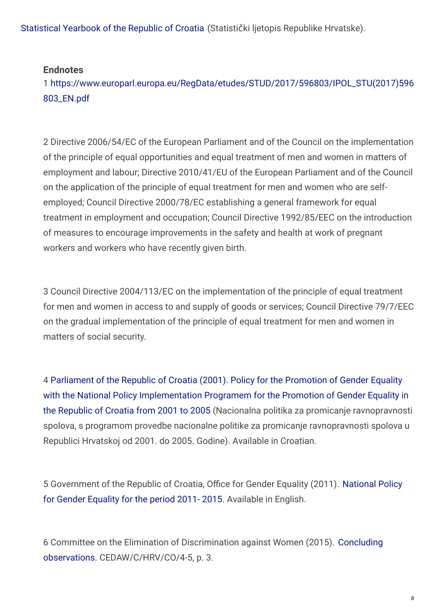[Statistical](http://www.dzs.hr/Hrv/Publication/stat_year.htm) Yearbook of the Republic of Croatia (Statistički ljetopis Republike Hrvatske).

#### **Endnotes**

1 [https://www.europarl.europa.eu/RegData/etudes/STUD/2017/596803/IPOL\\_STU\(2017\)596](https://www.europarl.europa.eu/RegData/etudes/STUD/2017/596803/IPOL_STU(2017)596803_EN.pdf) 803\_EN.pdf

2 Directive 2006/54/EC of the European Parliament and of the Council on the implementation of the principle of equal opportunities and equal treatment of men and women in matters of employment and labour; Directive 2010/41/EU of the European Parliament and of the Council on the application of the principle of equal treatment for men and women who are selfemployed; Council Directive 2000/78/EC establishing a general framework for equal treatment in employment and occupation; Council Directive 1992/85/EEC on the introduction of measures to encourage improvements in the safety and health at work of pregnant workers and workers who have recently given birth.

3 Council Directive 2004/113/EC on the implementation of the principle of equal treatment for men and women in access to and supply of goods or services; Council Directive 79/7/EEC on the gradual implementation of the principle of equal treatment for men and women in matters of social security.

4 Parliament of the Republic of Croatia (2001). Policy for the Promotion of Gender Equality with the National Policy [Implementation](http://ravnopravnost.gov.hr/UserDocsImages/arhiva/preuzimanje/dokumenti/nac_strat/Nacionalna politika za promicanje ravnopravnosti spolova 2001.-2005.pdf) Programem for the Promotion of Gender Equality in the Republic of Croatia from 2001 to 2005 (Nacionalna politika za promicanje ravnopravnosti spolova, s programom provedbe nacionalne politike za promicanje ravnopravnosti spolova u Republici Hrvatskoj od 2001. do 2005. Godine). Available in Croatian.

5 [Government](http://ravnopravnost.gov.hr/UserDocsImages/arhiva/images/pdf/National Policy for Gender Equality 2011-2015.pdf) of the Republic of Croatia, Office for Gender Equality (2011). National Policy for Gender Equality for the period 2011- 2015. Available in English.

6 Committee on the Elimination of Discrimination against Women (2015). Concluding observations. [CEDAW/C/HRV/CO/4-5,](http://tbinternet.ohchr.org/_layouts/15/treatybodyexternal/Download.aspx?symbolno=CEDAW/C/HRV/CO/4-5&Lang=En) p. 3.